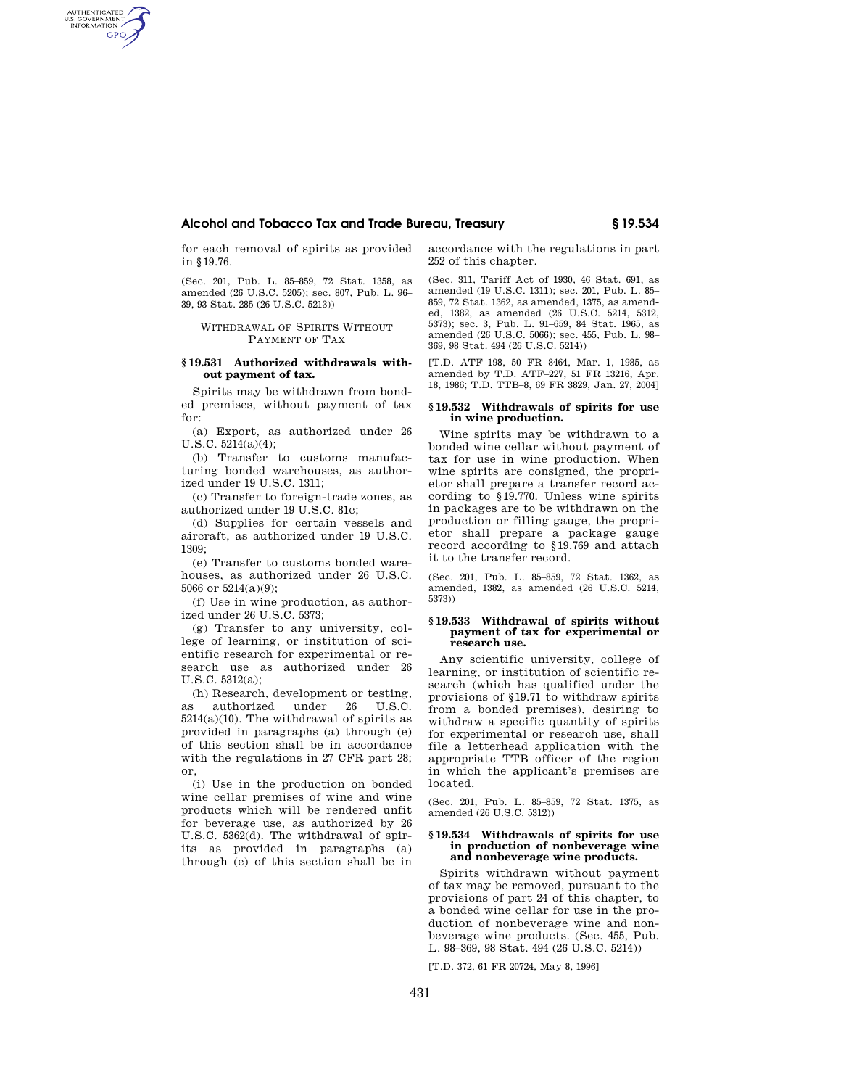# **Alcohol and Tobacco Tax and Trade Bureau, Treasury § 19.534**

for each removal of spirits as provided in §19.76.

AUTHENTICATED<br>U.S. GOVERNMENT<br>INFORMATION GPO

> (Sec. 201, Pub. L. 85–859, 72 Stat. 1358, as amended (26 U.S.C. 5205); sec. 807, Pub. L. 96– 39, 93 Stat. 285 (26 U.S.C. 5213))

WITHDRAWAL OF SPIRITS WITHOUT PAYMENT OF TAX

### **§ 19.531 Authorized withdrawals without payment of tax.**

Spirits may be withdrawn from bonded premises, without payment of tax for:

(a) Export, as authorized under 26 U.S.C. 5214(a)(4);

(b) Transfer to customs manufacturing bonded warehouses, as authorized under 19 U.S.C. 1311;

(c) Transfer to foreign-trade zones, as authorized under 19 U.S.C. 81c;

(d) Supplies for certain vessels and aircraft, as authorized under 19 U.S.C. 1309;

(e) Transfer to customs bonded warehouses, as authorized under 26 U.S.C. 5066 or 5214(a)(9);

(f) Use in wine production, as authorized under 26 U.S.C. 5373;

(g) Transfer to any university, college of learning, or institution of scientific research for experimental or research use as authorized under 26 U.S.C. 5312(a);

(h) Research, development or testing, as authorized under 26 U.S.C.  $5214(a)(10)$ . The withdrawal of spirits as provided in paragraphs (a) through (e) of this section shall be in accordance with the regulations in 27 CFR part 28; or,

(i) Use in the production on bonded wine cellar premises of wine and wine products which will be rendered unfit for beverage use, as authorized by 26 U.S.C. 5362(d). The withdrawal of spirits as provided in paragraphs (a) through (e) of this section shall be in

accordance with the regulations in part 252 of this chapter.

(Sec. 311, Tariff Act of 1930, 46 Stat. 691, as amended (19 U.S.C. 1311); sec. 201, Pub. L. 85– 859, 72 Stat. 1362, as amended, 1375, as amended, 1382, as amended (26 U.S.C. 5214, 5312, 5373); sec. 3, Pub. L. 91–659, 84 Stat. 1965, as amended (26 U.S.C. 5066); sec. 455, Pub. L. 98– 369, 98 Stat. 494 (26 U.S.C. 5214))

[T.D. ATF–198, 50 FR 8464, Mar. 1, 1985, as amended by T.D. ATF–227, 51 FR 13216, Apr. 18, 1986; T.D. TTB–8, 69 FR 3829, Jan. 27, 2004]

### **§ 19.532 Withdrawals of spirits for use in wine production.**

Wine spirits may be withdrawn to a bonded wine cellar without payment of tax for use in wine production. When wine spirits are consigned, the proprietor shall prepare a transfer record according to §19.770. Unless wine spirits in packages are to be withdrawn on the production or filling gauge, the proprietor shall prepare a package gauge record according to §19.769 and attach it to the transfer record.

(Sec. 201, Pub. L. 85–859, 72 Stat. 1362, as amended, 1382, as amended (26 U.S.C. 5214, 5373))

#### **§ 19.533 Withdrawal of spirits without payment of tax for experimental or research use.**

Any scientific university, college of learning, or institution of scientific research (which has qualified under the provisions of §19.71 to withdraw spirits from a bonded premises), desiring to withdraw a specific quantity of spirits for experimental or research use, shall file a letterhead application with the appropriate TTB officer of the region in which the applicant's premises are located.

(Sec. 201, Pub. L. 85–859, 72 Stat. 1375, as amended (26 U.S.C. 5312))

#### **§ 19.534 Withdrawals of spirits for use in production of nonbeverage wine and nonbeverage wine products.**

Spirits withdrawn without payment of tax may be removed, pursuant to the provisions of part 24 of this chapter, to a bonded wine cellar for use in the production of nonbeverage wine and nonbeverage wine products. (Sec. 455, Pub. L. 98–369, 98 Stat. 494 (26 U.S.C. 5214))

[T.D. 372, 61 FR 20724, May 8, 1996]